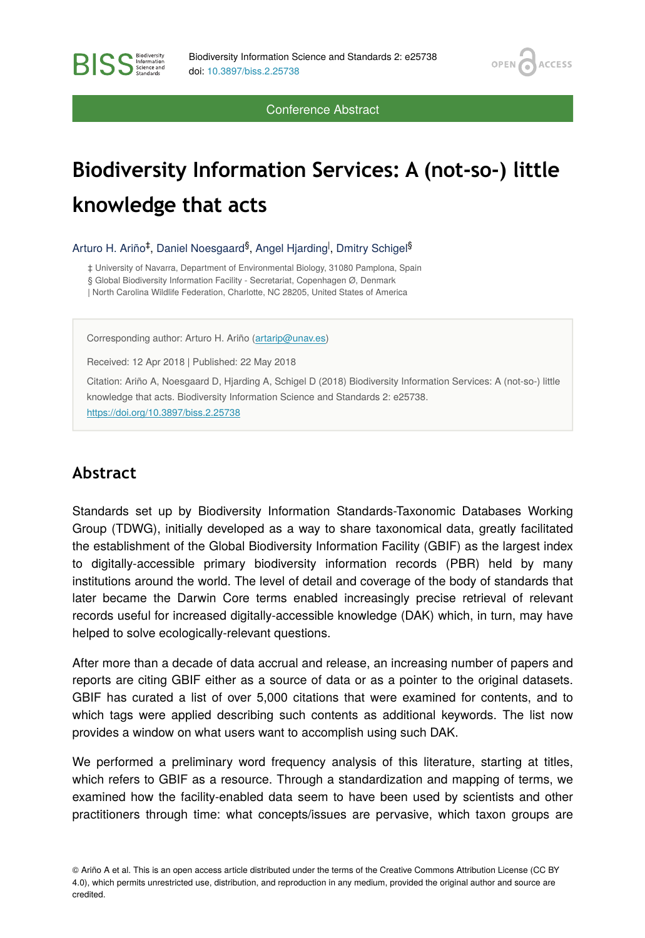OPEN<sub>C</sub>

**ACCESS** 

Conference Abstract

## **Biodiversity Information Services: A (not-so-) little knowledge that acts**

Arturo H. Ariño<sup>‡</sup>, Daniel Noesgaard<sup>§</sup>, Angel Hjarding<sup>l</sup>, Dmitry Schigel<sup>§</sup>

‡ University of Navarra, Department of Environmental Biology, 31080 Pamplona, Spain

§ Global Biodiversity Information Facility - Secretariat, Copenhagen Ø, Denmark

| North Carolina Wildlife Federation, Charlotte, NC 28205, United States of America

Corresponding author: Arturo H. Ariño ([artarip@unav.es\)](mailto:artarip@unav.es)

Received: 12 Apr 2018 | Published: 22 May 2018

Citation: Ariño A, Noesgaard D, Hjarding A, Schigel D (2018) Biodiversity Information Services: A (not-so-) little knowledge that acts. Biodiversity Information Science and Standards 2: e25738. <https://doi.org/10.3897/biss.2.25738>

## **Abstract**

**BISS** Steence and

Standards set up by Biodiversity Information Standards-Taxonomic Databases Working Group (TDWG), initially developed as a way to share taxonomical data, greatly facilitated the establishment of the Global Biodiversity Information Facility (GBIF) as the largest index to digitally-accessible primary biodiversity information records (PBR) held by many institutions around the world. The level of detail and coverage of the body of standards that later became the Darwin Core terms enabled increasingly precise retrieval of relevant records useful for increased digitally-accessible knowledge (DAK) which, in turn, may have helped to solve ecologically-relevant questions.

After more than a decade of data accrual and release, an increasing number of papers and reports are citing GBIF either as a source of data or as a pointer to the original datasets. GBIF has curated a list of over 5,000 citations that were examined for contents, and to which tags were applied describing such contents as additional keywords. The list now provides a window on what users want to accomplish using such DAK.

We performed a preliminary word frequency analysis of this literature, starting at titles, which refers to GBIF as a resource. Through a standardization and mapping of terms, we examined how the facility-enabled data seem to have been used by scientists and other practitioners through time: what concepts/issues are pervasive, which taxon groups are

<sup>©</sup> Ariño A et al. This is an open access article distributed under the terms of the Creative Commons Attribution License (CC BY 4.0), which permits unrestricted use, distribution, and reproduction in any medium, provided the original author and source are credited.